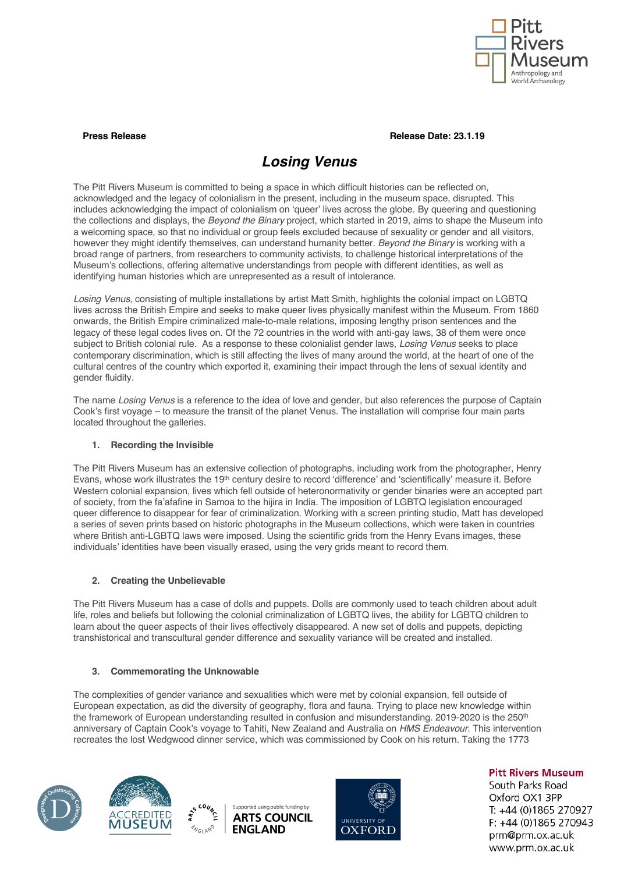

**Press Release Date: 23.1.19** 

# *Losing Venus*

The Pitt Rivers Museum is committed to being a space in which difficult histories can be reflected on, acknowledged and the legacy of colonialism in the present, including in the museum space, disrupted. This includes acknowledging the impact of colonialism on 'queer' lives across the globe. By queering and questioning the collections and displays, the *Beyond the Binary* project, which started in 2019, aims to shape the Museum into a welcoming space, so that no individual or group feels excluded because of sexuality or gender and all visitors, however they might identify themselves, can understand humanity better. *Beyond the Binary* is working with a broad range of partners, from researchers to community activists, to challenge historical interpretations of the Museum's collections, offering alternative understandings from people with different identities, as well as identifying human histories which are unrepresented as a result of intolerance.

*Losing Venus*, consisting of multiple installations by artist Matt Smith, highlights the colonial impact on LGBTQ lives across the British Empire and seeks to make queer lives physically manifest within the Museum. From 1860 onwards, the British Empire criminalized male-to-male relations, imposing lengthy prison sentences and the legacy of these legal codes lives on. Of the 72 countries in the world with anti-gay laws, 38 of them were once subject to British colonial rule. As a response to these colonialist gender laws, *Losing Venus* seeks to place contemporary discrimination, which is still affecting the lives of many around the world, at the heart of one of the cultural centres of the country which exported it, examining their impact through the lens of sexual identity and gender fluidity.

The name *Losing Venus* is a reference to the idea of love and gender, but also references the purpose of Captain Cook's first voyage – to measure the transit of the planet Venus. The installation will comprise four main parts located throughout the galleries.

## **1. Recording the Invisible**

The Pitt Rivers Museum has an extensive collection of photographs, including work from the photographer, Henry Evans, whose work illustrates the 19th century desire to record 'difference' and 'scientifically' measure it. Before Western colonial expansion, lives which fell outside of heteronormativity or gender binaries were an accepted part of society, from the fa'afafine in Samoa to the hijira in India. The imposition of LGBTQ legislation encouraged queer difference to disappear for fear of criminalization. Working with a screen printing studio, Matt has developed a series of seven prints based on historic photographs in the Museum collections, which were taken in countries where British anti-LGBTQ laws were imposed. Using the scientific grids from the Henry Evans images, these individuals' identities have been visually erased, using the very grids meant to record them.

## **2. Creating the Unbelievable**

The Pitt Rivers Museum has a case of dolls and puppets. Dolls are commonly used to teach children about adult life, roles and beliefs but following the colonial criminalization of LGBTQ lives, the ability for LGBTQ children to learn about the queer aspects of their lives effectively disappeared. A new set of dolls and puppets, depicting transhistorical and transcultural gender difference and sexuality variance will be created and installed.

## **3. Commemorating the Unknowable**

The complexities of gender variance and sexualities which were met by colonial expansion, fell outside of European expectation, as did the diversity of geography, flora and fauna. Trying to place new knowledge within the framework of European understanding resulted in confusion and misunderstanding. 2019-2020 is the 250<sup>th</sup> anniversary of Captain Cook's voyage to Tahiti, New Zealand and Australia on *HMS Endeavour*. This intervention recreates the lost Wedgwood dinner service, which was commissioned by Cook on his return. Taking the 1773









**Pitt Rivers Museum** 

South Parks Road Oxford OX1 3PP T: +44 (0)1865 270927 F: +44 (0)1865 270943 prm@prm.ox.ac.uk www.prm.ox.ac.uk